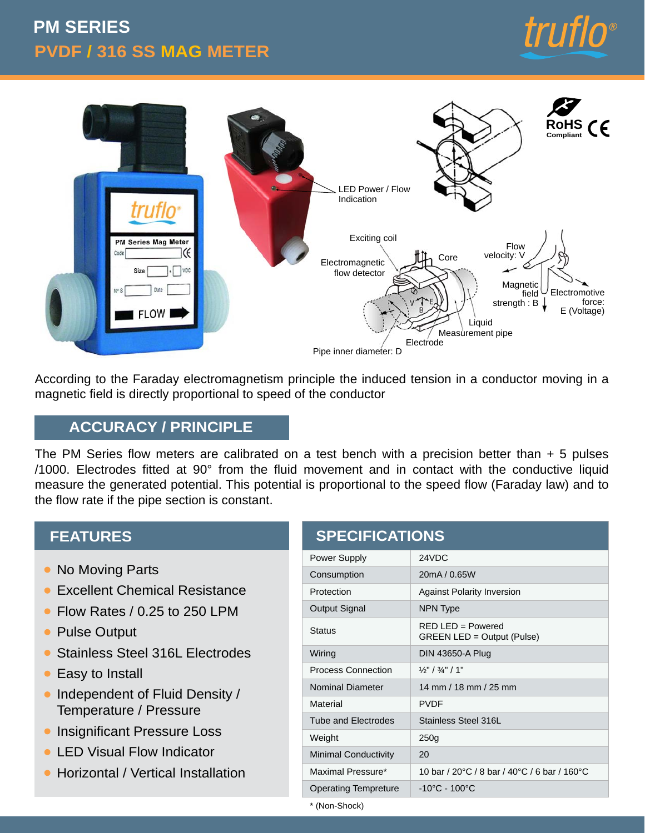# **PVDF / 316 SS MAG METER PM SERIES**





According to the Faraday electromagnetism principle the induced tension in a conductor moving in a magnetic field is directly proportional to speed of the conductor

## **ACCURACY / PRINCIPLE**

The PM Series flow meters are calibrated on a test bench with a precision better than  $+5$  pulses /1000. Electrodes fitted at 90° from the fluid movement and in contact with the conductive liquid measure the generated potential. This potential is proportional to the speed flow (Faraday law) and to the flow rate if the pipe section is constant.

#### **FEATURES**

- No Moving Parts
- Excellent Chemical Resistance  $\bullet$
- Flow Rates / 0.25 to 250 LPM
- Pulse Output
- Stainless Steel 316L Electrodes
- **Easy to Install**
- Independent of Fluid Density / Temperature / Pressure
- **Insignificant Pressure Loss**
- **LED Visual Flow Indicator**
- Horizontal / Vertical Installation

| <b>SPECIFICATIONS</b>       |                                                    |  |  |  |
|-----------------------------|----------------------------------------------------|--|--|--|
| <b>Power Supply</b>         | 24VDC                                              |  |  |  |
| Consumption                 | 20mA / 0.65W                                       |  |  |  |
| Protection                  | <b>Against Polarity Inversion</b>                  |  |  |  |
| Output Signal               | <b>NPN Type</b>                                    |  |  |  |
| <b>Status</b>               | $RFD$ I FD = Powered<br>GREEN LED = Output (Pulse) |  |  |  |
| Wiring                      | <b>DIN 43650-A Plug</b>                            |  |  |  |
| <b>Process Connection</b>   | $\frac{1}{2}$ " / $\frac{3}{4}$ " / 1"             |  |  |  |
| <b>Nominal Diameter</b>     | 14 mm / 18 mm / 25 mm                              |  |  |  |
| Material                    | <b>PVDF</b>                                        |  |  |  |
| <b>Tube and Electrodes</b>  | Stainless Steel 316L                               |  |  |  |
| Weight                      | 250 <sub>g</sub>                                   |  |  |  |
| <b>Minimal Conductivity</b> | 20                                                 |  |  |  |
| Maximal Pressure*           | 10 bar / 20 °C / 8 bar / 40 °C / 6 bar / 160 °C    |  |  |  |
| <b>Operating Tempreture</b> | $-10^{\circ}$ C - 100 $^{\circ}$ C                 |  |  |  |

\* (Non-Shock)